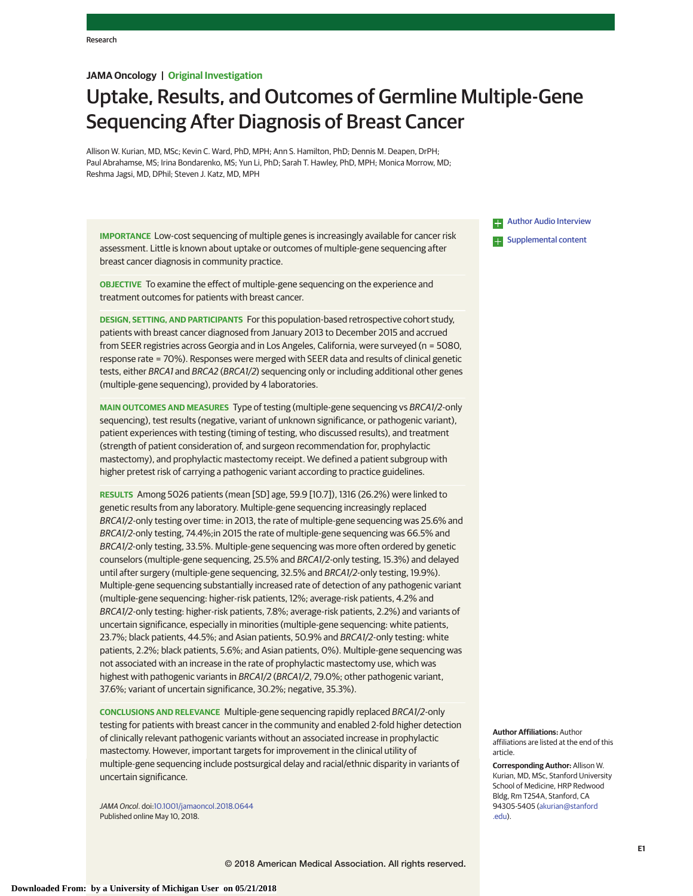# **JAMA Oncology | Original Investigation**

# Uptake, Results, and Outcomes of Germline Multiple-Gene Sequencing After Diagnosis of Breast Cancer

Allison W. Kurian, MD, MSc; Kevin C. Ward, PhD, MPH; Ann S. Hamilton, PhD; Dennis M. Deapen, DrPH; Paul Abrahamse, MS; Irina Bondarenko, MS; Yun Li, PhD; Sarah T. Hawley, PhD, MPH; Monica Morrow, MD; Reshma Jagsi, MD, DPhil; Steven J. Katz, MD, MPH

**IMPORTANCE** Low-cost sequencing of multiple genes is increasingly available for cancer risk assessment. Little is known about uptake or outcomes of multiple-gene sequencing after breast cancer diagnosis in community practice.

**OBJECTIVE** To examine the effect of multiple-gene sequencing on the experience and treatment outcomes for patients with breast cancer.

**DESIGN, SETTING, AND PARTICIPANTS** For this population-based retrospective cohort study, patients with breast cancer diagnosed from January 2013 to December 2015 and accrued from SEER registries across Georgia and in Los Angeles, California, were surveyed (n = 5080, response rate = 70%). Responses were merged with SEER data and results of clinical genetic tests, either BRCA1 and BRCA2 (BRCA1/2) sequencing only or including additional other genes (multiple-gene sequencing), provided by 4 laboratories.

**MAIN OUTCOMES AND MEASURES** Type of testing (multiple-gene sequencing vs BRCA1/2-only sequencing), test results (negative, variant of unknown significance, or pathogenic variant), patient experiences with testing (timing of testing, who discussed results), and treatment (strength of patient consideration of, and surgeon recommendation for, prophylactic mastectomy), and prophylactic mastectomy receipt. We defined a patient subgroup with higher pretest risk of carrying a pathogenic variant according to practice guidelines.

**RESULTS** Among 5026 patients (mean [SD] age, 59.9 [10.7]), 1316 (26.2%) were linked to genetic results from any laboratory. Multiple-gene sequencing increasingly replaced BRCA1/2-only testing over time: in 2013, the rate of multiple-gene sequencing was 25.6% and BRCA1/2-only testing, 74.4%;in 2015 the rate of multiple-gene sequencing was 66.5% and BRCA1/2-only testing, 33.5%. Multiple-gene sequencing was more often ordered by genetic counselors (multiple-gene sequencing, 25.5% and BRCA1/2-only testing, 15.3%) and delayed until after surgery (multiple-gene sequencing, 32.5% and BRCA1/2-only testing, 19.9%). Multiple-gene sequencing substantially increased rate of detection of any pathogenic variant (multiple-gene sequencing: higher-risk patients, 12%; average-risk patients, 4.2% and BRCA1/2-only testing: higher-risk patients, 7.8%; average-risk patients, 2.2%) and variants of uncertain significance, especially in minorities (multiple-gene sequencing: white patients, 23.7%; black patients, 44.5%; and Asian patients, 50.9% and BRCA1/2-only testing: white patients, 2.2%; black patients, 5.6%; and Asian patients, 0%). Multiple-gene sequencing was not associated with an increase in the rate of prophylactic mastectomy use, which was highest with pathogenic variants in BRCA1/2 (BRCA1/2, 79.0%; other pathogenic variant, 37.6%; variant of uncertain significance, 30.2%; negative, 35.3%).

**CONCLUSIONS AND RELEVANCE** Multiple-gene sequencing rapidly replaced BRCA1/2-only testing for patients with breast cancer in the community and enabled 2-fold higher detection of clinically relevant pathogenic variants without an associated increase in prophylactic mastectomy. However, important targets for improvement in the clinical utility of multiple-gene sequencing include postsurgical delay and racial/ethnic disparity in variants of uncertain significance.

JAMA Oncol. doi[:10.1001/jamaoncol.2018.0644](https://jama.jamanetwork.com/article.aspx?doi=10.1001/jamaoncol.2018.0644&utm_campaign=articlePDF%26utm_medium=articlePDFlink%26utm_source=articlePDF%26utm_content=jamaoncol.2018.0644) Published online May 10, 2018.

**B** [Author Audio Interview](https://jama.jamanetwork.com/article.aspx?doi=10.1001/jamaoncol.2018.0644&utm_campaign=articlePDF%26utm_medium=articlePDFlink%26utm_source=articlePDF%26utm_content=jamaoncol.2018.0644) **Examplemental content** 

**Author Affiliations:** Author affiliations are listed at the end of this article.

**Corresponding Author:** Allison W. Kurian, MD, MSc, Stanford University School of Medicine, HRP Redwood Bldg, Rm T254A, Stanford, CA 94305-5405 [\(akurian@stanford](mailto:akurian@stanford.edu) [.edu\)](mailto:akurian@stanford.edu).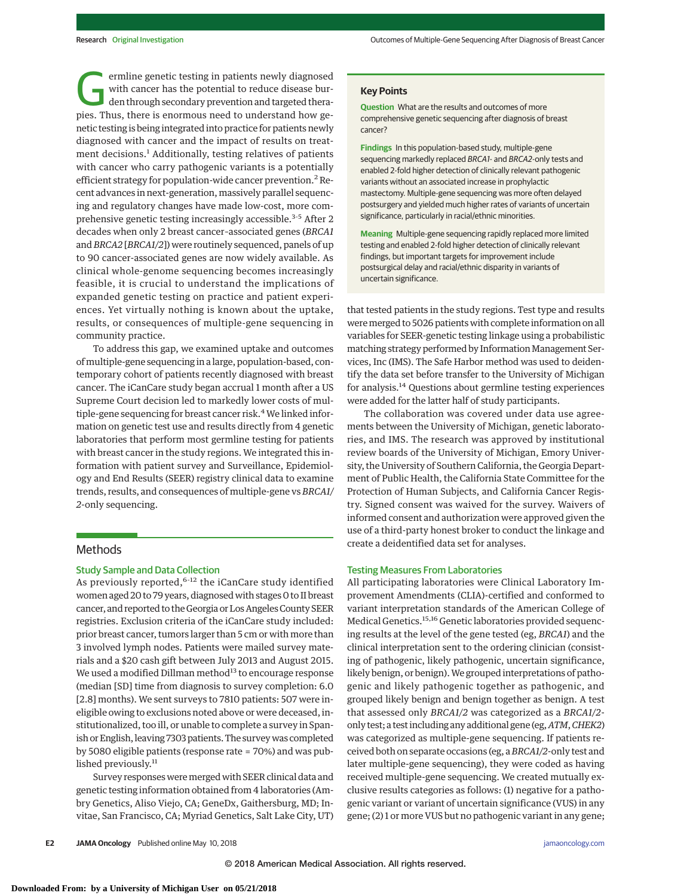ermline genetic testing in patients newly diagnosed<br>with cancer has the potential to reduce disease bur-<br>den through secondary prevention and targeted thera-<br>piec. Thus, there is enermous peed to understand how so. with cancer has the potential to reduce disease burpies. Thus, there is enormous need to understand how genetic testing is being integrated into practice for patients newly diagnosed with cancer and the impact of results on treatment decisions.<sup>1</sup> Additionally, testing relatives of patients with cancer who carry pathogenic variants is a potentially efficient strategy for population-wide cancer prevention.<sup>2</sup> Recent advances in next-generation, massively parallel sequencing and regulatory changes have made low-cost, more comprehensive genetic testing increasingly accessible.<sup>3-5</sup> After 2 decades when only 2 breast cancer–associated genes (*BRCA1* and*BRCA2* [*BRCA1/2*]) were routinely sequenced, panels of up to 90 cancer-associated genes are now widely available. As clinical whole-genome sequencing becomes increasingly feasible, it is crucial to understand the implications of expanded genetic testing on practice and patient experiences. Yet virtually nothing is known about the uptake, results, or consequences of multiple-gene sequencing in community practice.

To address this gap, we examined uptake and outcomes ofmultiple-gene sequencing in a large, population-based, contemporary cohort of patients recently diagnosed with breast cancer. The iCanCare study began accrual 1 month after a US Supreme Court decision led to markedly lower costs of multiple-gene sequencing for breast cancer risk.<sup>4</sup> We linked information on genetic test use and results directly from 4 genetic laboratories that perform most germline testing for patients with breast cancer in the study regions. We integrated this information with patient survey and Surveillance, Epidemiology and End Results (SEER) registry clinical data to examine trends, results, and consequences of multiple-gene vs*BRCA1/ 2*-only sequencing.

# **Methods**

#### Study Sample and Data Collection

As previously reported,  $6-12$  the iCanCare study identified women aged 20 to 79 years, diagnosed with stages 0 to II breast cancer, and reported to the Georgia or Los Angeles County SEER registries. Exclusion criteria of the iCanCare study included: prior breast cancer, tumors larger than 5 cm or with more than 3 involved lymph nodes. Patients were mailed survey materials and a \$20 cash gift between July 2013 and August 2015. We used a modified Dillman method<sup>13</sup> to encourage response (median [SD] time from diagnosis to survey completion: 6.0 [2.8] months). We sent surveys to 7810 patients: 507 were ineligible owing to exclusions noted above or were deceased, institutionalized, too ill, or unable to complete a survey in Spanish or English, leaving 7303 patients. The survey was completed by 5080 eligible patients (response rate = 70%) and was published previously.<sup>11</sup>

Survey responses weremerged with SEER clinical data and genetic testing information obtained from 4 laboratories (Ambry Genetics, Aliso Viejo, CA; GeneDx, Gaithersburg, MD; Invitae, San Francisco, CA; Myriad Genetics, Salt Lake City, UT) **Question** What are the results and outcomes of more comprehensive genetic sequencing after diagnosis of breast cancer?

**Findings** In this population-based study, multiple-gene sequencing markedly replaced BRCA1- and BRCA2-only tests and enabled 2-fold higher detection of clinically relevant pathogenic variants without an associated increase in prophylactic mastectomy. Multiple-gene sequencing was more often delayed postsurgery and yielded much higher rates of variants of uncertain significance, particularly in racial/ethnic minorities.

**Meaning** Multiple-gene sequencing rapidly replaced more limited testing and enabled 2-fold higher detection of clinically relevant findings, but important targets for improvement include postsurgical delay and racial/ethnic disparity in variants of uncertain significance.

that tested patients in the study regions. Test type and results were merged to 5026 patients with complete information on all variables for SEER-genetic testing linkage using a probabilistic matching strategy performed by Information Management Services, Inc (IMS). The Safe Harbor method was used to deidentify the data set before transfer to the University of Michigan for analysis.14 Questions about germline testing experiences were added for the latter half of study participants.

The collaboration was covered under data use agreements between the University of Michigan, genetic laboratories, and IMS. The research was approved by institutional review boards of the University of Michigan, Emory University, the University of Southern California, the Georgia Department of Public Health, the California State Committee for the Protection of Human Subjects, and California Cancer Registry. Signed consent was waived for the survey. Waivers of informed consent and authorization were approved given the use of a third-party honest broker to conduct the linkage and create a deidentified data set for analyses.

#### Testing Measures From Laboratories

All participating laboratories were Clinical Laboratory Improvement Amendments (CLIA)-certified and conformed to variant interpretation standards of the American College of Medical Genetics.15,16 Genetic laboratories provided sequencing results at the level of the gene tested (eg, *BRCA1*) and the clinical interpretation sent to the ordering clinician (consisting of pathogenic, likely pathogenic, uncertain significance, likely benign, or benign).We grouped interpretations of pathogenic and likely pathogenic together as pathogenic, and grouped likely benign and benign together as benign. A test that assessed only *BRCA1/2* was categorized as a *BRCA1/2* only test; a test including any additional gene (eg,*ATM*,*CHEK2*) was categorized as multiple-gene sequencing. If patients received both on separate occasions (eg, a*BRCA1/2*-only test and later multiple-gene sequencing), they were coded as having received multiple-gene sequencing. We created mutually exclusive results categories as follows: (1) negative for a pathogenic variant or variant of uncertain significance (VUS) in any gene; (2) 1 or more VUS but no pathogenic variant in any gene;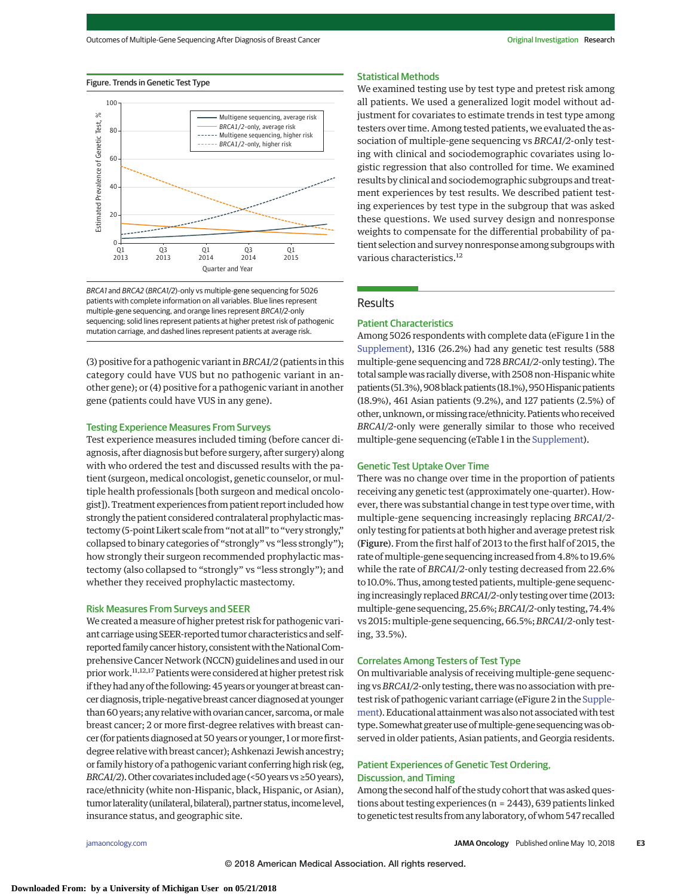#### Figure. Trends in Genetic Test Type



BRCA1 and BRCA2 (BRCA1/2)-only vs multiple-gene sequencing for 5026 patients with complete information on all variables. Blue lines represent multiple-gene sequencing, and orange lines represent BRCA1/2-only sequencing; solid lines represent patients at higher pretest risk of pathogenic mutation carriage, and dashed lines represent patients at average risk.

(3) positive for a pathogenic variant in*BRCA1/2* (patients in this category could have VUS but no pathogenic variant in another gene); or (4) positive for a pathogenic variant in another gene (patients could have VUS in any gene).

## Testing Experience Measures From Surveys

Test experience measures included timing (before cancer diagnosis, after diagnosis but before surgery, after surgery) along with who ordered the test and discussed results with the patient (surgeon, medical oncologist, genetic counselor, or multiple health professionals [both surgeon and medical oncologist]). Treatment experiences from patient report included how strongly the patient considered contralateral prophylacticmastectomy (5-point Likert scale from "not at all" to "very strongly," collapsed to binary categories of "strongly" vs "less strongly"); how strongly their surgeon recommended prophylactic mastectomy (also collapsed to "strongly" vs "less strongly"); and whether they received prophylactic mastectomy.

#### Risk Measures From Surveys and SEER

We created ameasure of higher pretest risk for pathogenic variant carriage using SEER-reported tumor characteristics and selfreported family cancer history, consistent with the National Comprehensive Cancer Network (NCCN) guidelines and used in our prior work.<sup>11,12,17</sup> Patients were considered at higher pretest risk if they had any of the following: 45 years or younger at breast cancerdiagnosis, triple-negative breastcancerdiagnosed at younger than 60 years; any relative with ovarian cancer, sarcoma, or male breast cancer; 2 or more first-degree relatives with breast cancer (for patients diagnosed at 50 years or younger, 1 ormore firstdegree relative with breast cancer); Ashkenazi Jewish ancestry; or family history of a pathogenic variant conferring high risk (eg, *BRCA1/2*). Other covariates included age (<50 years vs ≥50 years), race/ethnicity (white non-Hispanic, black, Hispanic, or Asian), tumor laterality (unilateral, bilateral), partner status, income level, insurance status, and geographic site.

#### Statistical Methods

We examined testing use by test type and pretest risk among all patients. We used a generalized logit model without adjustment for covariates to estimate trends in test type among testers over time. Among tested patients, we evaluated the association of multiple-gene sequencing vs *BRCA1/2*-only testing with clinical and sociodemographic covariates using logistic regression that also controlled for time. We examined results by clinical and sociodemographic subgroups and treatment experiences by test results. We described patient testing experiences by test type in the subgroup that was asked these questions. We used survey design and nonresponse weights to compensate for the differential probability of patient selection and survey nonresponse among subgroups with various characteristics.<sup>12</sup>

# **Results**

## Patient Characteristics

Among 5026 respondents with complete data (eFigure 1 in the [Supplement\)](https://jama.jamanetwork.com/article.aspx?doi=10.1001/jamaoncol.2018.0644&utm_campaign=articlePDF%26utm_medium=articlePDFlink%26utm_source=articlePDF%26utm_content=jamaoncol.2018.0644), 1316 (26.2%) had any genetic test results (588 multiple-gene sequencing and 728 *BRCA1/2*-only testing). The total sample was racially diverse, with 2508 non-Hispanic white patients (51.3%), 908 black patients (18.1%), 950 Hispanic patients (18.9%), 461 Asian patients (9.2%), and 127 patients (2.5%) of other, unknown, or missing race/ethnicity. Patients who received *BRCA1/2*-only were generally similar to those who received multiple-gene sequencing (eTable 1 in the [Supplement\)](https://jama.jamanetwork.com/article.aspx?doi=10.1001/jamaoncol.2018.0644&utm_campaign=articlePDF%26utm_medium=articlePDFlink%26utm_source=articlePDF%26utm_content=jamaoncol.2018.0644).

### Genetic Test Uptake Over Time

There was no change over time in the proportion of patients receiving any genetic test (approximately one-quarter). However, there was substantial change in test type over time, with multiple-gene sequencing increasingly replacing *BRCA1/2* only testing for patients at both higher and average pretest risk (Figure). From the first half of 2013 to the first half of 2015, the rate ofmultiple-gene sequencing increased from 4.8% to 19.6% while the rate of *BRCA1/2*-only testing decreased from 22.6% to 10.0%. Thus, among tested patients, multiple-gene sequencing increasingly replaced*BRCA1/2*-only testing over time (2013: multiple-gene sequencing, 25.6%;*BRCA1/2-*only testing, 74.4% vs 2015:multiple-gene sequencing, 66.5%;*BRCA1/2-*only testing, 33.5%).

#### Correlates Among Testers of Test Type

On multivariable analysis of receiving multiple-gene sequencing vs*BRCA1/2*-only testing, there was no association with pretest risk of pathogenic variant carriage (eFigure 2 in the [Supple](https://jama.jamanetwork.com/article.aspx?doi=10.1001/jamaoncol.2018.0644&utm_campaign=articlePDF%26utm_medium=articlePDFlink%26utm_source=articlePDF%26utm_content=jamaoncol.2018.0644)[ment\)](https://jama.jamanetwork.com/article.aspx?doi=10.1001/jamaoncol.2018.0644&utm_campaign=articlePDF%26utm_medium=articlePDFlink%26utm_source=articlePDF%26utm_content=jamaoncol.2018.0644). Educational attainment was also not associated with test type. Somewhat greater use of multiple-gene sequencing was observed in older patients, Asian patients, and Georgia residents.

# Patient Experiences of Genetic Test Ordering, Discussion, and Timing

Among the second half of the study cohort that was asked questions about testing experiences (n = 2443), 639 patients linked to genetic test results from any laboratory, of whom 547 recalled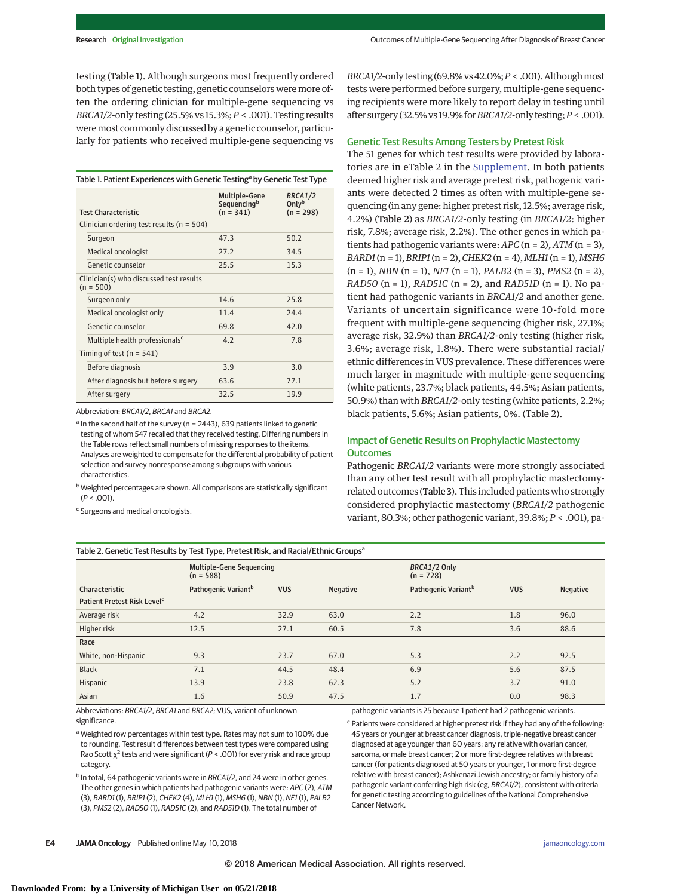testing (Table 1). Although surgeons most frequently ordered both types of genetic testing, genetic counselors weremore often the ordering clinician for multiple-gene sequencing vs *BRCA1/2*-only testing (25.5% vs 15.3%;*P* < .001). Testing results weremost commonly discussed by a genetic counselor, particularly for patients who received multiple-gene sequencing vs

| Table 1. Patient Experiences with Genetic Testing <sup>a</sup> by Genetic Test Type |                                                                |                                 |  |  |  |  |
|-------------------------------------------------------------------------------------|----------------------------------------------------------------|---------------------------------|--|--|--|--|
| <b>Test Characteristic</b>                                                          | <b>Multiple-Gene</b><br>Sequencing <sup>b</sup><br>$(n = 341)$ | BRCA1/2<br>Onlyb<br>$(n = 298)$ |  |  |  |  |
| Clinician ordering test results ( $n = 504$ )                                       |                                                                |                                 |  |  |  |  |
| Surgeon                                                                             | 47.3                                                           | 50.2                            |  |  |  |  |
| Medical oncologist                                                                  | 27.2                                                           | 34.5                            |  |  |  |  |
| Genetic counselor                                                                   | 25.5                                                           | 15.3                            |  |  |  |  |
| Clinician(s) who discussed test results<br>$(n = 500)$                              |                                                                |                                 |  |  |  |  |
| Surgeon only                                                                        | 14.6                                                           | 25.8                            |  |  |  |  |
| Medical oncologist only                                                             | 11.4                                                           | 244                             |  |  |  |  |
| Genetic counselor                                                                   | 69.8                                                           | 42 $\Omega$                     |  |  |  |  |
| Multiple health professionals <sup>c</sup>                                          | 47                                                             | 7.8                             |  |  |  |  |
| Timing of test ( $n = 541$ )                                                        |                                                                |                                 |  |  |  |  |
| Before diagnosis                                                                    | 3.9                                                            | 3.0                             |  |  |  |  |
| After diagnosis but before surgery                                                  | 63.6                                                           | 77.1                            |  |  |  |  |
| After surgery                                                                       | 32.5                                                           | 19.9                            |  |  |  |  |

Abbreviation: BRCA1/2, BRCA1 and BRCA2.

 $a$  In the second half of the survey (n = 2443), 639 patients linked to genetic testing of whom 547 recalled that they received testing. Differing numbers in the Table rows reflect small numbers of missing responses to the items. Analyses are weighted to compensate for the differential probability of patient selection and survey nonresponse among subgroups with various characteristics.

**b** Weighted percentages are shown. All comparisons are statistically significant  $(P < .001)$ .

<sup>c</sup> Surgeons and medical oncologists.

*BRCA1/2*-only testing(69.8% vs42.0%;*P* < .001). Althoughmost tests were performed before surgery, multiple-gene sequencing recipients were more likely to report delay in testing until after surgery (32.5% vs 19.9% for*BRCA1/2*-only testing;*P* < .001).

## Genetic Test Results Among Testers by Pretest Risk

The 51 genes for which test results were provided by laboratories are in eTable 2 in the [Supplement.](https://jama.jamanetwork.com/article.aspx?doi=10.1001/jamaoncol.2018.0644&utm_campaign=articlePDF%26utm_medium=articlePDFlink%26utm_source=articlePDF%26utm_content=jamaoncol.2018.0644) In both patients deemed higher risk and average pretest risk, pathogenic variants were detected 2 times as often with multiple-gene sequencing (in any gene: higher pretest risk, 12.5%; average risk, 4.2%) (Table 2) as *BRCA1/2*-only testing (in *BRCA1/2*: higher risk, 7.8%; average risk, 2.2%). The other genes in which patients had pathogenic variants were: *APC* (n = 2), *ATM* (n = 3), *BARD1* (n = 1),*BRIP1* (n = 2),*CHEK2*(n = 4),*MLH1* (n = 1),*MSH6* (n = 1), *NBN* (n = 1), *NF1* (n = 1), *PALB2* (n = 3), *PMS2* (n = 2), *RAD50* (n = 1), *RAD51C* (n = 2), and *RAD51D* (n = 1). No patient had pathogenic variants in *BRCA1/2* and another gene. Variants of uncertain significance were 10-fold more frequent with multiple-gene sequencing (higher risk, 27.1%; average risk, 32.9%) than *BRCA1/2*-only testing (higher risk, 3.6%; average risk, 1.8%). There were substantial racial/ ethnic differences in VUS prevalence. These differences were much larger in magnitude with multiple-gene sequencing (white patients, 23.7%; black patients, 44.5%; Asian patients, 50.9%) than with *BRCA1/2*-only testing (white patients, 2.2%; black patients, 5.6%; Asian patients, 0%. (Table 2).

# Impact of Genetic Results on Prophylactic Mastectomy **Outcomes**

Pathogenic *BRCA1/2* variants were more strongly associated than any other test result with all prophylactic mastectomyrelated outcomes (Table 3). This included patients who strongly considered prophylactic mastectomy (*BRCA1/2* pathogenic variant, 80.3%; other pathogenic variant, 39.8%; *P* < .001), pa-

| Table 2. Genetic Test Results by Test Type, Pretest Risk, and Racial/Ethnic Groups <sup>a</sup> |  |
|-------------------------------------------------------------------------------------------------|--|
|-------------------------------------------------------------------------------------------------|--|

| Table 2. Genetic Test Results by Test Type, Fretest Risk, and Racial/Ltnnic Groups |                                                |            |                             |                                 |            |                 |  |
|------------------------------------------------------------------------------------|------------------------------------------------|------------|-----------------------------|---------------------------------|------------|-----------------|--|
|                                                                                    | <b>Multiple-Gene Sequencing</b><br>$(n = 588)$ |            | BRCA1/2 Only<br>$(n = 728)$ |                                 |            |                 |  |
| Characteristic                                                                     | Pathogenic Variant <sup>b</sup>                | <b>VUS</b> | <b>Negative</b>             | Pathogenic Variant <sup>b</sup> | <b>VUS</b> | <b>Negative</b> |  |
| Patient Pretest Risk Level <sup>c</sup>                                            |                                                |            |                             |                                 |            |                 |  |
| Average risk                                                                       | 4.2                                            | 32.9       | 63.0                        | 2.2                             | 1.8        | 96.0            |  |
| Higher risk                                                                        | 12.5                                           | 27.1       | 60.5                        | 7.8                             | 3.6        | 88.6            |  |
| Race                                                                               |                                                |            |                             |                                 |            |                 |  |
| White, non-Hispanic                                                                | 9.3                                            | 23.7       | 67.0                        | 5.3                             | 2.2        | 92.5            |  |
| <b>Black</b>                                                                       | 7.1                                            | 44.5       | 48.4                        | 6.9                             | 5.6        | 87.5            |  |
| Hispanic                                                                           | 13.9                                           | 23.8       | 62.3                        | 5.2                             | 3.7        | 91.0            |  |
| Asian                                                                              | 1.6                                            | 50.9       | 47.5                        | 1.7                             | 0.0        | 98.3            |  |

Abbreviations: BRCA1/2, BRCA1 and BRCA2; VUS, variant of unknown significance.

<sup>a</sup> Weighted row percentages within test type. Rates may not sum to 100% due to rounding. Test result differences between test types were compared using Rao Scott  $\chi^2$  tests and were significant (P < .001) for every risk and race group category.

<sup>b</sup> In total, 64 pathogenic variants were in BRCA1/2, and 24 were in other genes. The other genes in which patients had pathogenic variants were: APC (2), ATM (3), BARD1 (1), BRIP1 (2), CHEK2 (4), MLH1 (1), MSH6 (1), NBN (1), NF1 (1), PALB2 (3), PMS2 (2), RAD50 (1), RAD51C (2), and RAD51D (1). The total number of

pathogenic variants is 25 because 1 patient had 2 pathogenic variants.

<sup>c</sup> Patients were considered at higher pretest risk if they had any of the following: 45 years or younger at breast cancer diagnosis, triple-negative breast cancer diagnosed at age younger than 60 years; any relative with ovarian cancer, sarcoma, or male breast cancer; 2 or more first-degree relatives with breast cancer (for patients diagnosed at 50 years or younger, 1 or more first-degree relative with breast cancer); Ashkenazi Jewish ancestry; or family history of a pathogenic variant conferring high risk (eg, BRCA1/2), consistent with criteria for genetic testing according to guidelines of the National Comprehensive Cancer Network.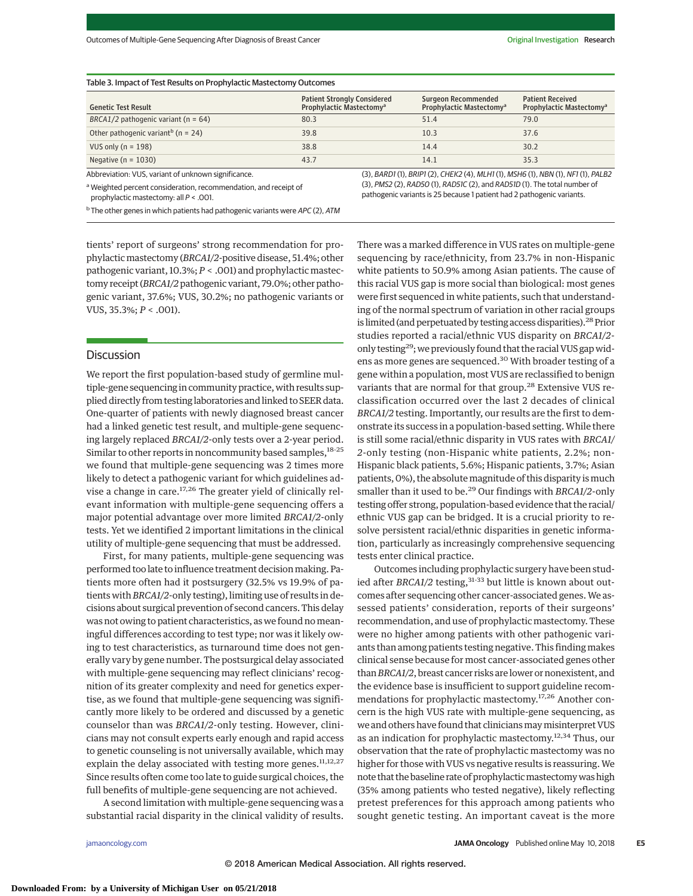Table 3. Impact of Test Results on Prophylactic Mastectomy Outcomes

| <b>Genetic Test Result</b>                          | <b>Patient Strongly Considered</b><br>Prophylactic Mastectomy <sup>a</sup> | Surgeon Recommended<br>Prophylactic Mastectomy <sup>a</sup>                | <b>Patient Received</b><br>Prophylactic Mastectomy <sup>a</sup> |
|-----------------------------------------------------|----------------------------------------------------------------------------|----------------------------------------------------------------------------|-----------------------------------------------------------------|
| BRCA1/2 pathogenic variant ( $n = 64$ )             | 80.3                                                                       | 51.4                                                                       | 79.0                                                            |
| Other pathogenic variant <sup>b</sup> ( $n = 24$ )  | 39.8                                                                       | 10.3                                                                       | 37.6                                                            |
| VUS only ( $n = 198$ )                              | 38.8                                                                       | 14.4                                                                       | 30.2                                                            |
| Negative ( $n = 1030$ )                             | 43.7                                                                       | 14.1                                                                       | 35.3                                                            |
| Abbreviation: VUS, variant of unknown significance. |                                                                            | (3), BARD1(1), BRIP1(2), CHEK2(4), MLH1(1), MSH6(1), NBN(1), NF1(1), PALB2 |                                                                 |

a Weighted percent consideration, recommendation, and receipt of

prophylactic mastectomy: all P < .001.

<sup>b</sup> The other genes in which patients had pathogenic variants were APC (2), ATM

tients' report of surgeons' strong recommendation for prophylacticmastectomy (*BRCA1/2*-positive disease, 51.4%; other pathogenic variant, 10.3%; *P* < .001) and prophylactic mastectomy receipt (*BRCA1/2*pathogenic variant, 79.0%; other pathogenic variant, 37.6%; VUS, 30.2%; no pathogenic variants or VUS, 35.3%; *P* < .001).

## **Discussion**

We report the first population-based study of germline multiple-gene sequencing in community practice, with results supplied directly from testing laboratories and linked to SEER data. One-quarter of patients with newly diagnosed breast cancer had a linked genetic test result, and multiple-gene sequencing largely replaced *BRCA1/2*-only tests over a 2-year period. Similar to other reports in noncommunity based samples, 18-25 we found that multiple-gene sequencing was 2 times more likely to detect a pathogenic variant for which guidelines advise a change in care.<sup>17,26</sup> The greater yield of clinically relevant information with multiple-gene sequencing offers a major potential advantage over more limited *BRCA1/2*-only tests. Yet we identified 2 important limitations in the clinical utility of multiple-gene sequencing that must be addressed.

First, for many patients, multiple-gene sequencing was performed too late to influence treatment decision making. Patients more often had it postsurgery (32.5% vs 19.9% of patients with*BRCA1/2*-only testing), limiting use of results in decisions about surgical prevention of second cancers. This delay was not owing to patient characteristics, as we found no meaningful differences according to test type; nor was it likely owing to test characteristics, as turnaround time does not generally vary by gene number. The postsurgical delay associated with multiple-gene sequencing may reflect clinicians' recognition of its greater complexity and need for genetics expertise, as we found that multiple-gene sequencing was significantly more likely to be ordered and discussed by a genetic counselor than was *BRCA1/2*-only testing. However, clinicians may not consult experts early enough and rapid access to genetic counseling is not universally available, which may explain the delay associated with testing more genes.<sup>11,12,27</sup> Since results often come too late to guide surgical choices, the full benefits of multiple-gene sequencing are not achieved.

A second limitation with multiple-gene sequencing was a substantial racial disparity in the clinical validity of results.

There was a marked difference in VUS rates on multiple-gene sequencing by race/ethnicity, from 23.7% in non-Hispanic white patients to 50.9% among Asian patients. The cause of this racial VUS gap is more social than biological: most genes were first sequenced in white patients, such that understanding of the normal spectrum of variation in other racial groups is limited (and perpetuated by testing access disparities).<sup>28</sup> Prior studies reported a racial/ethnic VUS disparity on *BRCA1/2* only testing29; we previously found that the racial VUS gap widens as more genes are sequenced.<sup>30</sup> With broader testing of a gene within a population, most VUS are reclassified to benign variants that are normal for that group.<sup>28</sup> Extensive VUS reclassification occurred over the last 2 decades of clinical *BRCA1/2* testing. Importantly, our results are the first to demonstrate its success in a population-based setting. While there is still some racial/ethnic disparity in VUS rates with *BRCA1/ 2*-only testing (non-Hispanic white patients, 2.2%; non-Hispanic black patients, 5.6%; Hispanic patients, 3.7%; Asian patients, 0%), the absolute magnitude of this disparity is much smaller than it used to be.29 Our findings with *BRCA1/2*-only testing offer strong, population-based evidence that the racial/ ethnic VUS gap can be bridged. It is a crucial priority to resolve persistent racial/ethnic disparities in genetic information, particularly as increasingly comprehensive sequencing tests enter clinical practice.

(3), PMS2 (2), RAD50 (1), RAD51C (2), and RAD51D (1). The total number of pathogenic variants is 25 because 1 patient had 2 pathogenic variants.

Outcomes including prophylactic surgery have been studied after *BRCA1*/2 testing,<sup>31-33</sup> but little is known about outcomes after sequencing other cancer-associated genes.We assessed patients' consideration, reports of their surgeons' recommendation, and use of prophylactic mastectomy. These were no higher among patients with other pathogenic variants than among patients testing negative. This finding makes clinical sense because for most cancer-associated genes other than*BRCA1/2*, breast cancer risks are lower or nonexistent, and the evidence base is insufficient to support guideline recommendations for prophylactic mastectomy.<sup>17,26</sup> Another concern is the high VUS rate with multiple-gene sequencing, as we and others have found that clinicians may misinterpret VUS as an indication for prophylactic mastectomy.<sup>12,34</sup> Thus, our observation that the rate of prophylactic mastectomy was no higher for those with VUS vs negative results is reassuring.We note that the baseline rate of prophylactic mastectomy was high (35% among patients who tested negative), likely reflecting pretest preferences for this approach among patients who sought genetic testing. An important caveat is the more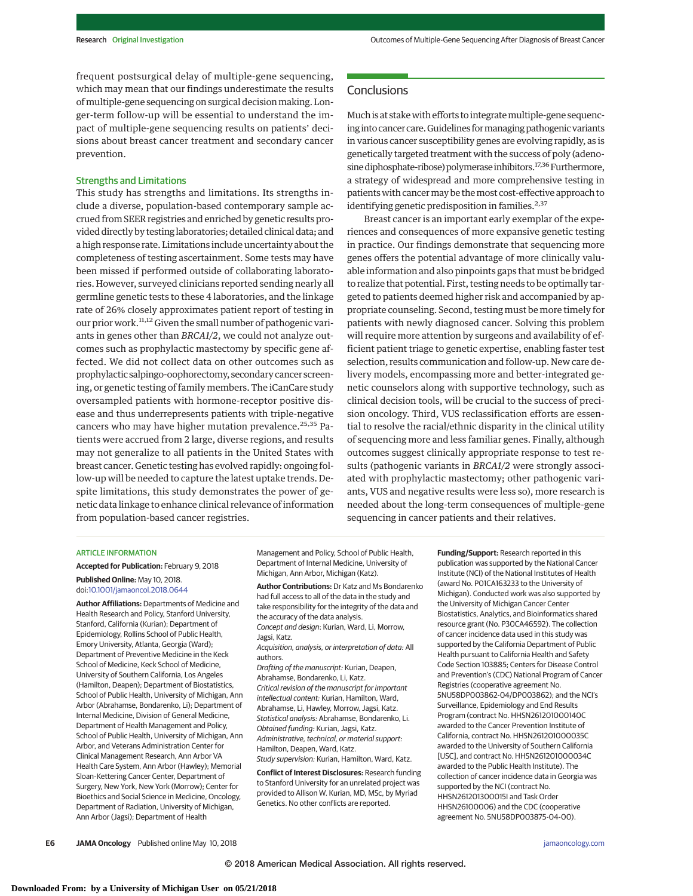frequent postsurgical delay of multiple-gene sequencing, which may mean that our findings underestimate the results of multiple-gene sequencing on surgical decision making. Longer-term follow-up will be essential to understand the impact of multiple-gene sequencing results on patients' decisions about breast cancer treatment and secondary cancer prevention.

## Strengths and Limitations

This study has strengths and limitations. Its strengths include a diverse, population-based contemporary sample accrued from SEER registries and enriched by genetic results provided directly by testing laboratories; detailed clinical data; and a high response rate. Limitations include uncertainty about the completeness of testing ascertainment. Some tests may have been missed if performed outside of collaborating laboratories. However, surveyed clinicians reported sending nearly all germline genetic tests to these 4 laboratories, and the linkage rate of 26% closely approximates patient report of testing in our prior work.<sup>11,12</sup> Given the small number of pathogenic variants in genes other than *BRCA1/2*, we could not analyze outcomes such as prophylactic mastectomy by specific gene affected. We did not collect data on other outcomes such as prophylactic salpingo-oophorectomy, secondary cancer screening, or genetic testing of family members. The iCanCare study oversampled patients with hormone-receptor positive disease and thus underrepresents patients with triple-negative cancers who may have higher mutation prevalence.<sup>25,35</sup> Patients were accrued from 2 large, diverse regions, and results may not generalize to all patients in the United States with breast cancer. Genetic testing has evolved rapidly: ongoing follow-up will be needed to capture the latest uptake trends. Despite limitations, this study demonstrates the power of genetic data linkage to enhance clinical relevance of information from population-based cancer registries.

## **Conclusions**

Much is at stake with efforts to integrate multiple-gene sequencing into cancer care. Guidelines for managing pathogenic variants in various cancer susceptibility genes are evolving rapidly, as is genetically targeted treatment with the success of poly (adenosine diphosphate-ribose) polymerase inhibitors.<sup>17,36</sup> Furthermore, a strategy of widespread and more comprehensive testing in patients with cancer may be the most cost-effective approach to identifying genetic predisposition in families. $2,37$ 

Breast cancer is an important early exemplar of the experiences and consequences of more expansive genetic testing in practice. Our findings demonstrate that sequencing more genes offers the potential advantage of more clinically valuable information and also pinpoints gaps that must be bridged to realize that potential. First, testing needs to be optimally targeted to patients deemed higher risk and accompanied by appropriate counseling. Second, testing must be more timely for patients with newly diagnosed cancer. Solving this problem will require more attention by surgeons and availability of efficient patient triage to genetic expertise, enabling faster test selection, results communication and follow-up. New care delivery models, encompassing more and better-integrated genetic counselors along with supportive technology, such as clinical decision tools, will be crucial to the success of precision oncology. Third, VUS reclassification efforts are essential to resolve the racial/ethnic disparity in the clinical utility of sequencing more and less familiar genes. Finally, although outcomes suggest clinically appropriate response to test results (pathogenic variants in *BRCA1/2* were strongly associated with prophylactic mastectomy; other pathogenic variants, VUS and negative results were less so), more research is needed about the long-term consequences of multiple-gene sequencing in cancer patients and their relatives.

#### ARTICLE INFORMATION

**Accepted for Publication:** February 9, 2018 **Published Online:** May 10, 2018. doi[:10.1001/jamaoncol.2018.0644](https://jama.jamanetwork.com/article.aspx?doi=10.1001/jamaoncol.2018.0644&utm_campaign=articlePDF%26utm_medium=articlePDFlink%26utm_source=articlePDF%26utm_content=jamaoncol.2018.0644)

**Author Affiliations:** Departments of Medicine and Health Research and Policy, Stanford University, Stanford, California (Kurian); Department of Epidemiology, Rollins School of Public Health, Emory University, Atlanta, Georgia (Ward); Department of Preventive Medicine in the Keck School of Medicine, Keck School of Medicine, University of Southern California, Los Angeles (Hamilton, Deapen); Department of Biostatistics, School of Public Health, University of Michigan, Ann Arbor (Abrahamse, Bondarenko, Li); Department of Internal Medicine, Division of General Medicine, Department of Health Management and Policy, School of Public Health, University of Michigan, Ann Arbor, and Veterans Administration Center for Clinical Management Research, Ann Arbor VA Health Care System, Ann Arbor (Hawley); Memorial Sloan-Kettering Cancer Center, Department of Surgery, New York, New York (Morrow); Center for Bioethics and Social Science in Medicine, Oncology, Department of Radiation, University of Michigan, Ann Arbor (Jagsi); Department of Health

Management and Policy, School of Public Health, Department of Internal Medicine, University of Michigan, Ann Arbor, Michigan (Katz).

**Author Contributions:** Dr Katz and Ms Bondarenko had full access to all of the data in the study and take responsibility for the integrity of the data and the accuracy of the data analysis. Concept and design: Kurian, Ward, Li, Morrow, Jagsi, Katz. Acquisition, analysis, or interpretation of data: All authors. Drafting of the manuscript: Kurian, Deapen, Abrahamse, Bondarenko, Li, Katz. Critical revision of the manuscript for important intellectual content: Kurian, Hamilton, Ward,

Abrahamse, Li, Hawley, Morrow, Jagsi, Katz. Statistical analysis: Abrahamse, Bondarenko, Li. Obtained funding: Kurian, Jagsi, Katz. Administrative, technical, or material support: Hamilton, Deapen, Ward, Katz. Study supervision: Kurian, Hamilton, Ward, Katz.

**Conflict of Interest Disclosures:** Research funding to Stanford University for an unrelated project was provided to Allison W. Kurian, MD, MSc, by Myriad Genetics. No other conflicts are reported.

**Funding/Support:** Research reported in this publication was supported by the National Cancer Institute (NCI) of the National Institutes of Health (award No. P01CA163233 to the University of Michigan). Conducted work was also supported by the University of Michigan Cancer Center Biostatistics, Analytics, and Bioinformatics shared resource grant (No. P30CA46592). The collection of cancer incidence data used in this study was supported by the California Department of Public Health pursuant to California Health and Safety Code Section 103885; Centers for Disease Control and Prevention's (CDC) National Program of Cancer Registries (cooperative agreement No. 5NU58DP003862-04/DP003862); and the NCI's Surveillance, Epidemiology and End Results Program (contract No. HHSN261201000140C awarded to the Cancer Prevention Institute of California, contract No. HHSN261201000035C awarded to the University of Southern California [USC], and contract No. HHSN261201000034C awarded to the Public Health Institute). The collection of cancer incidence data in Georgia was supported by the NCI (contract No. HHSN261201300015I and Task Order HHSN26100006) and the CDC (cooperative agreement No. 5NU58DP003875-04-00).